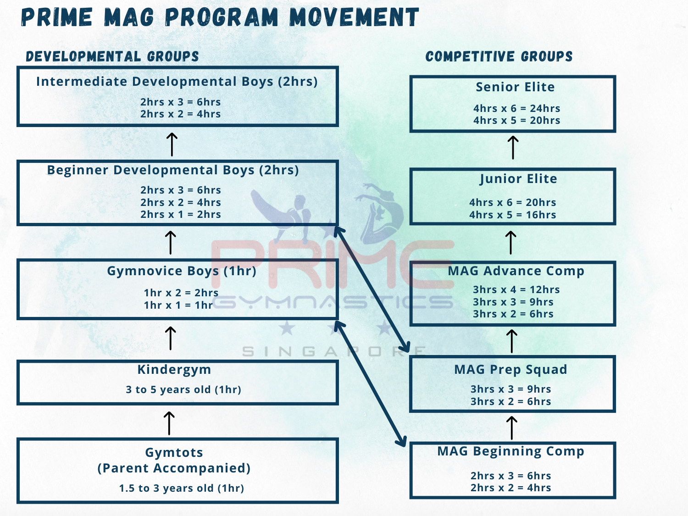## Prime MAG program movement